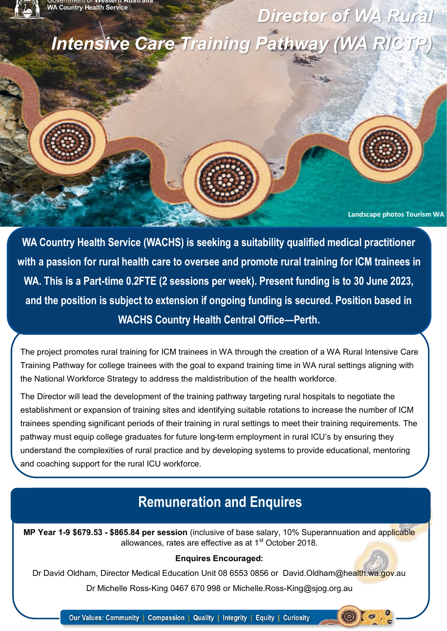*Intensive Care Training Pathway (WA RICTP)* 

**Landscape photos Tourism WA** 

*Director of WA Rural* 

**WA Country Health Service (WACHS) is seeking a suitability qualified medical practitioner with a passion for rural health care to oversee and promote rural training for ICM trainees in WA. This is a Part-time 0.2FTE (2 sessions per week). Present funding is to 30 June 2023, and the position is subject to extension if ongoing funding is secured. Position based in WACHS Country Health Central Office—Perth.**

The project promotes rural training for ICM trainees in WA through the creation of a WA Rural Intensive Care Training Pathway for college trainees with the goal to expand training time in WA rural settings aligning with the National Workforce Strategy to address the maldistribution of the health workforce.

The Director will lead the development of the training pathway targeting rural hospitals to negotiate the establishment or expansion of training sites and identifying suitable rotations to increase the number of ICM trainees spending significant periods of their training in rural settings to meet their training requirements. The pathway must equip college graduates for future long-term employment in rural ICU's by ensuring they understand the complexities of rural practice and by developing systems to provide educational, mentoring and coaching support for the rural ICU workforce.

## **Remuneration and Enquires**

**MP Year 1-9 \$679.53 - \$865.84 per session** (inclusive of base salary, 10% Superannuation and applicable allowances, rates are effective as at  $1<sup>st</sup>$  October 2018.

### **Enquires Encouraged:**

Dr David Oldham, Director Medical Education Unit 08 6553 0856 or David.Oldham@health.wa.gov.au

Dr Michelle Ross-King 0467 670 998 or Michelle.Ross-King@sjog.org.au

Our Values: Community | Compassion | Quality | Integrity | Equity | Curiosity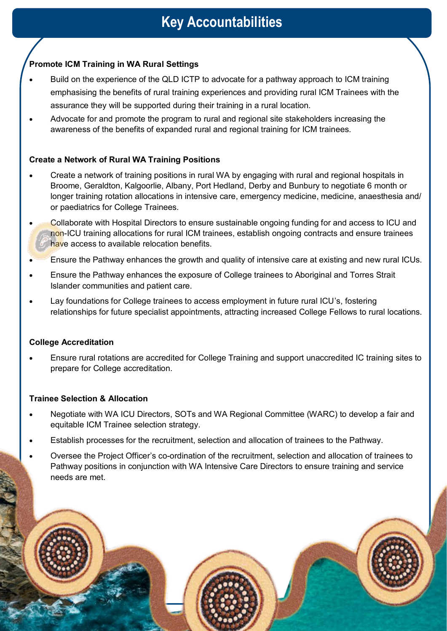# **Key Accountabilities**

### **Promote ICM Training in WA Rural Settings**

- Build on the experience of the QLD ICTP to advocate for a pathway approach to ICM training emphasising the benefits of rural training experiences and providing rural ICM Trainees with the assurance they will be supported during their training in a rural location.
- Advocate for and promote the program to rural and regional site stakeholders increasing the awareness of the benefits of expanded rural and regional training for ICM trainees.

### **Create a Network of Rural WA Training Positions**

- Create a network of training positions in rural WA by engaging with rural and regional hospitals in Broome, Geraldton, Kalgoorlie, Albany, Port Hedland, Derby and Bunbury to negotiate 6 month or longer training rotation allocations in intensive care, emergency medicine, medicine, anaesthesia and/ or paediatrics for College Trainees.
- Collaborate with Hospital Directors to ensure sustainable ongoing funding for and access to ICU and non-ICU training allocations for rural ICM trainees, establish ongoing contracts and ensure trainees have access to available relocation benefits.
- Ensure the Pathway enhances the growth and quality of intensive care at existing and new rural ICUs.
- Ensure the Pathway enhances the exposure of College trainees to Aboriginal and Torres Strait Islander communities and patient care.
- Lay foundations for College trainees to access employment in future rural ICU's, fostering relationships for future specialist appointments, attracting increased College Fellows to rural locations.

#### **College Accreditation**

• Ensure rural rotations are accredited for College Training and support unaccredited IC training sites to prepare for College accreditation.

#### **Trainee Selection & Allocation**

- Negotiate with WA ICU Directors, SOTs and WA Regional Committee (WARC) to develop a fair and equitable ICM Trainee selection strategy.
- Establish processes for the recruitment, selection and allocation of trainees to the Pathway.
- Oversee the Project Officer's co-ordination of the recruitment, selection and allocation of trainees to Pathway positions in conjunction with WA Intensive Care Directors to ensure training and service needs are met.